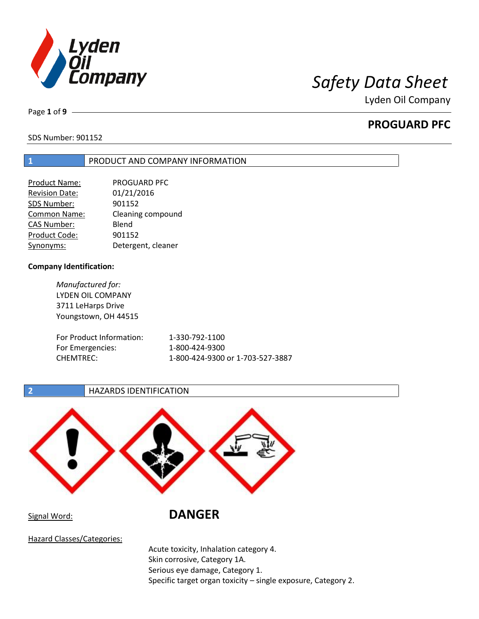

Page **1** of **9**

# **PROGUARD PFC**

SDS Number: 901152

## **1** PRODUCT AND COMPANY INFORMATION

| <b>Product Name:</b>  | PROGUARD PFC       |
|-----------------------|--------------------|
| <b>Revision Date:</b> | 01/21/2016         |
| SDS Number:           | 901152             |
| Common Name:          | Cleaning compound  |
| <b>CAS Number:</b>    | Blend              |
| Product Code:         | 901152             |
| Synonyms:             | Detergent, cleaner |

## **Company Identification:**

*Manufactured for:* LYDEN OIL COMPANY 3711 LeHarps Drive Youngstown, OH 44515

| For Product Information: | 1-330-792-1100                   |
|--------------------------|----------------------------------|
| For Emergencies:         | 1-800-424-9300                   |
| CHEMTREC:                | 1-800-424-9300 or 1-703-527-3887 |

## **2 HAZARDS IDENTIFICATION**



# Signal Word: **DANGER**

Hazard Classes/Categories:

Acute toxicity, Inhalation category 4. Skin corrosive, Category 1A. Serious eye damage, Category 1. Specific target organ toxicity – single exposure, Category 2.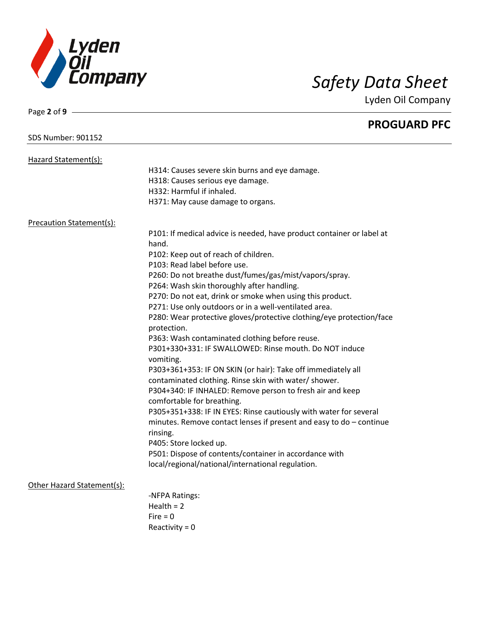

Page **2** of **9**

Lyden Oil Company

|                                 | <b>PROGUARD PFC</b>                                                            |
|---------------------------------|--------------------------------------------------------------------------------|
| <b>SDS Number: 901152</b>       |                                                                                |
| Hazard Statement(s):            |                                                                                |
|                                 | H314: Causes severe skin burns and eye damage.                                 |
|                                 | H318: Causes serious eye damage.                                               |
|                                 | H332: Harmful if inhaled.                                                      |
|                                 | H371: May cause damage to organs.                                              |
| <b>Precaution Statement(s):</b> |                                                                                |
|                                 | P101: If medical advice is needed, have product container or label at<br>hand. |
|                                 | P102: Keep out of reach of children.                                           |
|                                 | P103: Read label before use.                                                   |
|                                 | P260: Do not breathe dust/fumes/gas/mist/vapors/spray.                         |
|                                 | P264: Wash skin thoroughly after handling.                                     |
|                                 | P270: Do not eat, drink or smoke when using this product.                      |
|                                 | P271: Use only outdoors or in a well-ventilated area.                          |
|                                 | P280: Wear protective gloves/protective clothing/eye protection/face           |
|                                 | protection.                                                                    |
|                                 | P363: Wash contaminated clothing before reuse.                                 |
|                                 | P301+330+331: IF SWALLOWED: Rinse mouth. Do NOT induce<br>vomiting.            |
|                                 | P303+361+353: IF ON SKIN (or hair): Take off immediately all                   |
|                                 | contaminated clothing. Rinse skin with water/ shower.                          |
|                                 | P304+340: IF INHALED: Remove person to fresh air and keep                      |
|                                 | comfortable for breathing.                                                     |
|                                 | P305+351+338: IF IN EYES: Rinse cautiously with water for several              |
|                                 | minutes. Remove contact lenses if present and easy to $do$ – continue          |
|                                 | rinsing.                                                                       |
|                                 | P405: Store locked up.                                                         |
|                                 | P501: Dispose of contents/container in accordance with                         |
|                                 | local/regional/national/international regulation.                              |
| Other Hazard Statement(s):      |                                                                                |
|                                 | -NFPA Ratings:                                                                 |
|                                 | Health $= 2$                                                                   |
|                                 | $Fire = 0$                                                                     |
|                                 | Reactivity = $0$                                                               |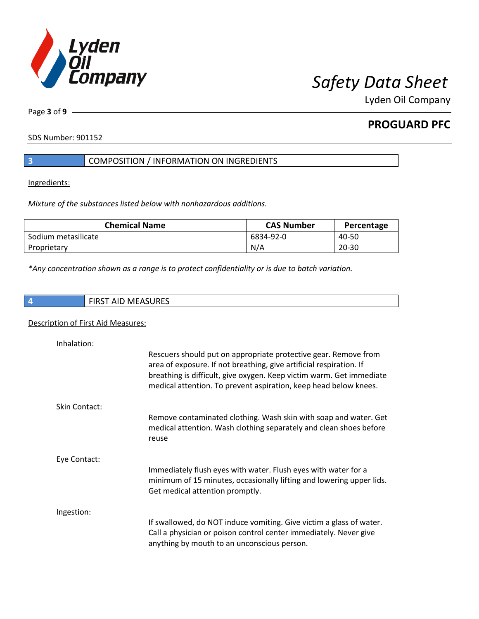

**PROGUARD PFC**

SDS Number: 901152

Page **3** of **9**

## **3** COMPOSITION / INFORMATION ON INGREDIENTS

Ingredients:

*Mixture of the substances listed below with nonhazardous additions.*

| <b>Chemical Name</b> | <b>CAS Number</b> | Percentage |
|----------------------|-------------------|------------|
| Sodium metasilicate  | 6834-92-0         | 40-50      |
| Proprietary          | N/A               | $20 - 30$  |

*\*Any concentration shown as a range is to protect confidentiality or is due to batch variation.*

|  | ۰. |  |  |
|--|----|--|--|
|  |    |  |  |

**4** FIRST AID MEASURES

## Description of First Aid Measures:

| Inhalation:          |                                                                                                                                                                                                                                                                                    |
|----------------------|------------------------------------------------------------------------------------------------------------------------------------------------------------------------------------------------------------------------------------------------------------------------------------|
|                      | Rescuers should put on appropriate protective gear. Remove from<br>area of exposure. If not breathing, give artificial respiration. If<br>breathing is difficult, give oxygen. Keep victim warm. Get immediate<br>medical attention. To prevent aspiration, keep head below knees. |
| <b>Skin Contact:</b> |                                                                                                                                                                                                                                                                                    |
|                      | Remove contaminated clothing. Wash skin with soap and water. Get<br>medical attention. Wash clothing separately and clean shoes before<br>reuse                                                                                                                                    |
| Eye Contact:         |                                                                                                                                                                                                                                                                                    |
|                      | Immediately flush eyes with water. Flush eyes with water for a<br>minimum of 15 minutes, occasionally lifting and lowering upper lids.<br>Get medical attention promptly.                                                                                                          |
| Ingestion:           |                                                                                                                                                                                                                                                                                    |
|                      | If swallowed, do NOT induce vomiting. Give victim a glass of water.<br>Call a physician or poison control center immediately. Never give<br>anything by mouth to an unconscious person.                                                                                            |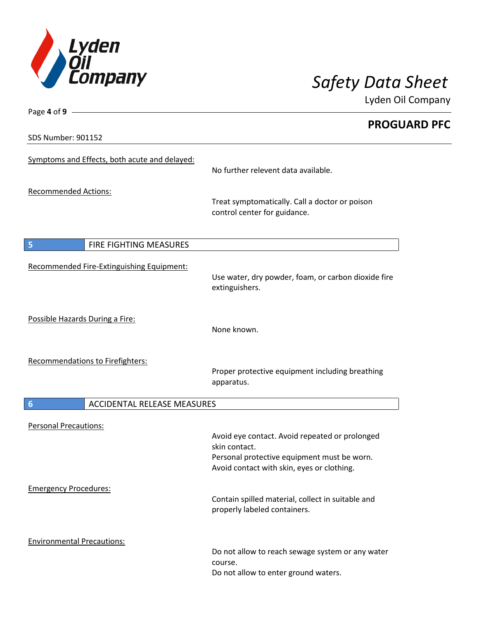

Page **4** of **9 PROGUARD PFC** SDS Number: 901152 Symptoms and Effects, both acute and delayed: No further relevent data available. Recommended Actions: Treat symptomatically. Call a doctor or poison control center for guidance. **5 FIRE FIGHTING MEASURES** Recommended Fire-Extinguishing Equipment: Use water, dry powder, foam, or carbon dioxide fire extinguishers. Possible Hazards During a Fire: None known. Recommendations to Firefighters: Proper protective equipment including breathing apparatus. **6** ACCIDENTAL RELEASE MEASURES Personal Precautions: Avoid eye contact. Avoid repeated or prolonged skin contact. Personal protective equipment must be worn. Avoid contact with skin, eyes or clothing. Emergency Procedures: Contain spilled material, collect in suitable and properly labeled containers. Environmental Precautions: Do not allow to reach sewage system or any water course. Do not allow to enter ground waters.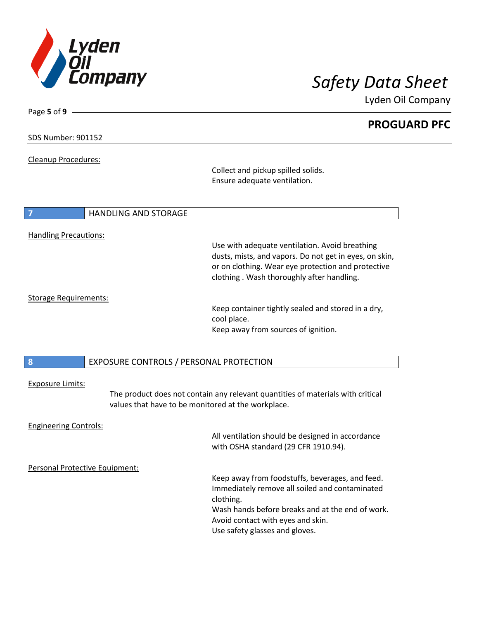

 $\overline{\phantom{a}}$ 

Lyden Oil Company

| Page 5 of 9 $-$                |                                                    |                                                                                 |
|--------------------------------|----------------------------------------------------|---------------------------------------------------------------------------------|
|                                |                                                    | <b>PROGUARD PFC</b>                                                             |
|                                |                                                    |                                                                                 |
| <b>SDS Number: 901152</b>      |                                                    |                                                                                 |
|                                |                                                    |                                                                                 |
| Cleanup Procedures:            |                                                    |                                                                                 |
|                                |                                                    | Collect and pickup spilled solids.                                              |
|                                |                                                    | Ensure adequate ventilation.                                                    |
|                                |                                                    |                                                                                 |
|                                |                                                    |                                                                                 |
|                                | <b>HANDLING AND STORAGE</b>                        |                                                                                 |
|                                |                                                    |                                                                                 |
| <b>Handling Precautions:</b>   |                                                    |                                                                                 |
|                                |                                                    | Use with adequate ventilation. Avoid breathing                                  |
|                                |                                                    | dusts, mists, and vapors. Do not get in eyes, on skin,                          |
|                                |                                                    | or on clothing. Wear eye protection and protective                              |
|                                |                                                    | clothing. Wash thoroughly after handling.                                       |
|                                |                                                    |                                                                                 |
| <b>Storage Requirements:</b>   |                                                    |                                                                                 |
|                                |                                                    | Keep container tightly sealed and stored in a dry,                              |
|                                |                                                    | cool place.                                                                     |
|                                |                                                    | Keep away from sources of ignition.                                             |
|                                |                                                    |                                                                                 |
|                                |                                                    |                                                                                 |
| 8                              | EXPOSURE CONTROLS / PERSONAL PROTECTION            |                                                                                 |
|                                |                                                    |                                                                                 |
|                                |                                                    |                                                                                 |
| <b>Exposure Limits:</b>        |                                                    |                                                                                 |
|                                |                                                    | The product does not contain any relevant quantities of materials with critical |
|                                | values that have to be monitored at the workplace. |                                                                                 |
|                                |                                                    |                                                                                 |
| <b>Engineering Controls:</b>   |                                                    |                                                                                 |
|                                |                                                    | All ventilation should be designed in accordance                                |
|                                |                                                    | with OSHA standard (29 CFR 1910.94).                                            |
|                                |                                                    |                                                                                 |
| Personal Protective Equipment: |                                                    |                                                                                 |
|                                |                                                    | Keep away from foodstuffs, beverages, and feed.                                 |
|                                |                                                    | Immediately remove all soiled and contaminated                                  |
|                                |                                                    | clothing.                                                                       |
|                                |                                                    | Wash hands before breaks and at the end of work.                                |
|                                |                                                    | Avoid contact with eyes and skin.                                               |
|                                |                                                    | Use safety glasses and gloves.                                                  |
|                                |                                                    |                                                                                 |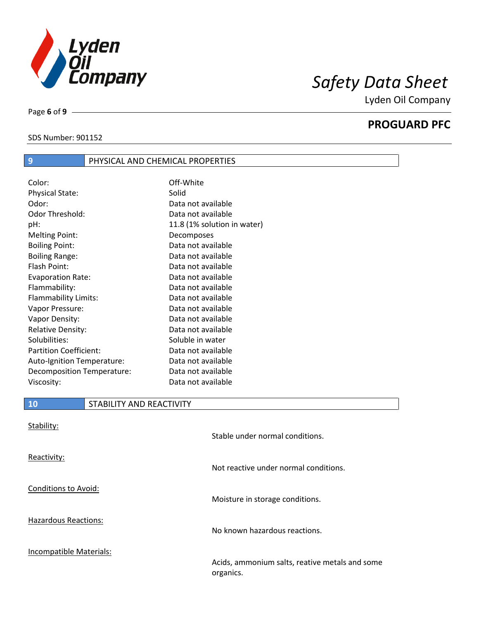

SDS Number: 901152

Page **6** of **9**

# **PROGUARD PFC**

| 23 IVUIIINCI. 201134 |  |
|----------------------|--|
|                      |  |

## **9** PHYSICAL AND CHEMICAL PROPERTIES

| Color:                        | Off-White                   |
|-------------------------------|-----------------------------|
| <b>Physical State:</b>        | Solid                       |
| Odor:                         | Data not available          |
| Odor Threshold:               | Data not available          |
| pH:                           | 11.8 (1% solution in water) |
| <b>Melting Point:</b>         | Decomposes                  |
| <b>Boiling Point:</b>         | Data not available          |
| <b>Boiling Range:</b>         | Data not available          |
| Flash Point:                  | Data not available          |
| <b>Evaporation Rate:</b>      | Data not available          |
| Flammability:                 | Data not available          |
| Flammability Limits:          | Data not available          |
| Vapor Pressure:               | Data not available          |
| Vapor Density:                | Data not available          |
| <b>Relative Density:</b>      | Data not available          |
| Solubilities:                 | Soluble in water            |
| <b>Partition Coefficient:</b> | Data not available          |
| Auto-Ignition Temperature:    | Data not available          |
| Decomposition Temperature:    | Data not available          |
| Viscosity:                    | Data not available          |

## **10** STABILITY AND REACTIVITY

| Stability:                  | Stable under normal conditions.                             |
|-----------------------------|-------------------------------------------------------------|
| Reactivity:                 | Not reactive under normal conditions.                       |
| <b>Conditions to Avoid:</b> | Moisture in storage conditions.                             |
| <b>Hazardous Reactions:</b> | No known hazardous reactions.                               |
| Incompatible Materials:     | Acids, ammonium salts, reative metals and some<br>organics. |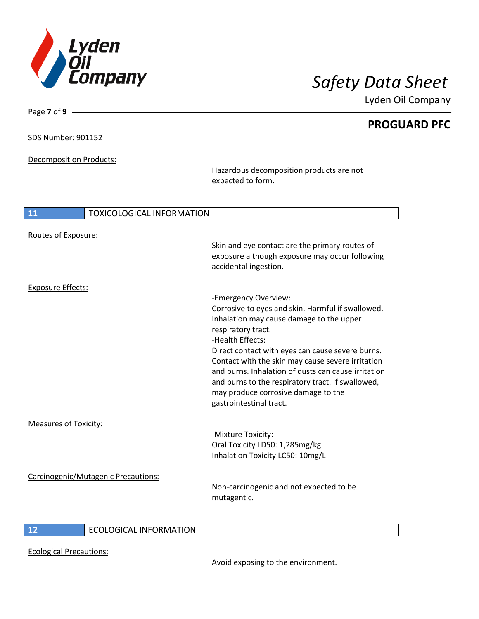

**PROGUARD PFC**

## SDS Number: 901152

Page **7** of **9**

Decomposition Products:

Hazardous decomposition products are not expected to form.

| 11                           | <b>TOXICOLOGICAL INFORMATION</b>    |                                                                                                                                                                                                                                                                                                                                                                                                                                                        |
|------------------------------|-------------------------------------|--------------------------------------------------------------------------------------------------------------------------------------------------------------------------------------------------------------------------------------------------------------------------------------------------------------------------------------------------------------------------------------------------------------------------------------------------------|
| Routes of Exposure:          |                                     | Skin and eye contact are the primary routes of<br>exposure although exposure may occur following<br>accidental ingestion.                                                                                                                                                                                                                                                                                                                              |
| <b>Exposure Effects:</b>     |                                     |                                                                                                                                                                                                                                                                                                                                                                                                                                                        |
|                              |                                     | -Emergency Overview:<br>Corrosive to eyes and skin. Harmful if swallowed.<br>Inhalation may cause damage to the upper<br>respiratory tract.<br>-Health Effects:<br>Direct contact with eyes can cause severe burns.<br>Contact with the skin may cause severe irritation<br>and burns. Inhalation of dusts can cause irritation<br>and burns to the respiratory tract. If swallowed,<br>may produce corrosive damage to the<br>gastrointestinal tract. |
| <b>Measures of Toxicity:</b> |                                     |                                                                                                                                                                                                                                                                                                                                                                                                                                                        |
|                              |                                     | -Mixture Toxicity:<br>Oral Toxicity LD50: 1,285mg/kg<br>Inhalation Toxicity LC50: 10mg/L                                                                                                                                                                                                                                                                                                                                                               |
|                              | Carcinogenic/Mutagenic Precautions: | Non-carcinogenic and not expected to be<br>mutagentic.                                                                                                                                                                                                                                                                                                                                                                                                 |

## **12** ECOLOGICAL INFORMATION

Ecological Precautions:

Avoid exposing to the environment.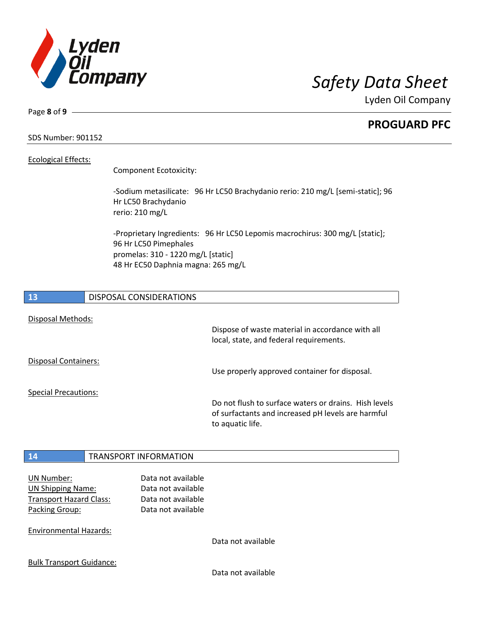

**PROGUARD PFC**

SDS Number: 901152

## Ecological Effects:

Page **8** of **9**

Component Ecotoxicity:

-Sodium metasilicate: 96 Hr LC50 Brachydanio rerio: 210 mg/L [semi-static]; 96 Hr LC50 Brachydanio rerio: 210 mg/L

-Proprietary Ingredients: 96 Hr LC50 Lepomis macrochirus: 300 mg/L [static]; 96 Hr LC50 Pimephales promelas: 310 - 1220 mg/L [static] 48 Hr EC50 Daphnia magna: 265 mg/L



UN Shipping Name: Data not available Transport Hazard Class: Data not available Packing Group: Data not available

Environmental Hazards:

Data not available

Bulk Transport Guidance:

Data not available